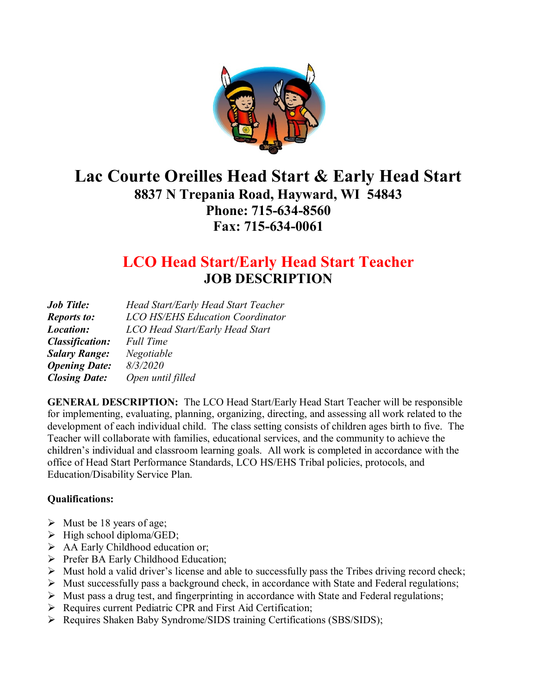

# **Lac Courte Oreilles Head Start & Early Head Start 8837 N Trepania Road, Hayward, WI 54843 Phone: 715-634-8560 Fax: 715-634-0061**

## **LCO Head Start/Early Head Start Teacher JOB DESCRIPTION**

| <b>Job Title:</b>      | Head Start/Early Head Start Teacher     |
|------------------------|-----------------------------------------|
| <b>Reports to:</b>     | <b>LCO HS/EHS Education Coordinator</b> |
| Location:              | LCO Head Start/Early Head Start         |
| <b>Classification:</b> | <b>Full Time</b>                        |
| <b>Salary Range:</b>   | Negotiable                              |
| <b>Opening Date:</b>   | 8/3/2020                                |
| <b>Closing Date:</b>   | Open until filled                       |

**GENERAL DESCRIPTION:** The LCO Head Start/Early Head Start Teacher will be responsible for implementing, evaluating, planning, organizing, directing, and assessing all work related to the development of each individual child. The class setting consists of children ages birth to five. The Teacher will collaborate with families, educational services, and the community to achieve the children's individual and classroom learning goals. All work is completed in accordance with the office of Head Start Performance Standards, LCO HS/EHS Tribal policies, protocols, and Education/Disability Service Plan.

#### **Qualifications:**

- $\triangleright$  Must be 18 years of age;
- $\triangleright$  High school diploma/GED;
- AA Early Childhood education or;
- Prefer BA Early Childhood Education;
- $\triangleright$  Must hold a valid driver's license and able to successfully pass the Tribes driving record check;
- $\triangleright$  Must successfully pass a background check, in accordance with State and Federal regulations;
- $\triangleright$  Must pass a drug test, and fingerprinting in accordance with State and Federal regulations;
- $\triangleright$  Requires current Pediatric CPR and First Aid Certification;
- $\triangleright$  Requires Shaken Baby Syndrome/SIDS training Certifications (SBS/SIDS);